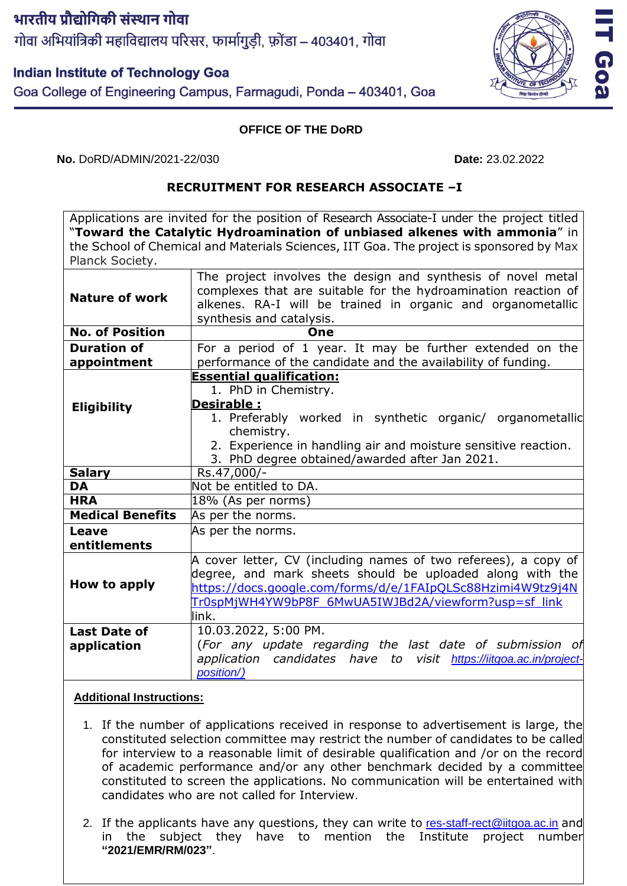भारतीय प्रौद्योगिकी संस्थान गोवा गोवा अभियांत्रिकी महाविद्यालय परिसर, फार्मागुडी, फ़ोंडा – 403401, गोवा

## **Indian Institute of Technology Goa**

Goa College of Engineering Campus, Farmagudi, Ponda - 403401, Goa

## **OFFICE OF THE DoRD**

**No.** DoRD/ADMIN/2021-22/030 **Date:** 23.02.2022

## **RECRUITMENT FOR RESEARCH ASSOCIATE –I**

Applications are invited for the position of Research Associate-I under the project titled "**Toward the Catalytic Hydroamination of unbiased alkenes with ammonia**" in the School of Chemical and Materials Sciences, IIT Goa. The project is sponsored by Max Planck Society.

| <b>Nature of work</b>   | The project involves the design and synthesis of novel metal<br>complexes that are suitable for the hydroamination reaction of |
|-------------------------|--------------------------------------------------------------------------------------------------------------------------------|
|                         | alkenes. RA-I will be trained in organic and organometallic                                                                    |
|                         | synthesis and catalysis.                                                                                                       |
| <b>No. of Position</b>  | One                                                                                                                            |
| <b>Duration of</b>      | For a period of 1 year. It may be further extended on the                                                                      |
| appointment             | performance of the candidate and the availability of funding.                                                                  |
| <b>Eligibility</b>      | <b>Essential qualification:</b>                                                                                                |
|                         | 1. PhD in Chemistry.                                                                                                           |
|                         | <b>Desirable:</b>                                                                                                              |
|                         | 1. Preferably worked in synthetic organic/ organometallic                                                                      |
|                         | chemistry.                                                                                                                     |
|                         | 2. Experience in handling air and moisture sensitive reaction.                                                                 |
|                         | 3. PhD degree obtained/awarded after Jan 2021.                                                                                 |
| <b>Salary</b>           | Rs.47,000/-                                                                                                                    |
| <b>DA</b>               | Not be entitled to DA.                                                                                                         |
| <b>HRA</b>              | $18%$ (As per norms)                                                                                                           |
| <b>Medical Benefits</b> | As per the norms.                                                                                                              |
| Leave                   | As per the norms.                                                                                                              |
| entitlements            |                                                                                                                                |
| How to apply            | A cover letter, CV (including names of two referees), a copy of                                                                |
|                         | degree, and mark sheets should be uploaded along with the                                                                      |
|                         | https://docs.google.com/forms/d/e/1FAIpQLSc88Hzimi4W9tz9j4N                                                                    |
|                         | Tr0spMjWH4YW9bP8F 6MwUA5IWJBd2A/viewform?usp=sf_link                                                                           |
|                         | link.                                                                                                                          |
| <b>Last Date of</b>     | 10.03.2022, 5:00 PM.                                                                                                           |
| application             | (For any update regarding the last date of submission of                                                                       |
|                         | application candidates have to visit https://iitgoa.ac.in/project-                                                             |
|                         | position/)                                                                                                                     |

## **Additional Instructions:**

- 1. If the number of applications received in response to advertisement is large, the constituted selection committee may restrict the number of candidates to be called for interview to a reasonable limit of desirable qualification and /or on the record of academic performance and/or any other benchmark decided by a committee constituted to screen the applications. No communication will be entertained with candidates who are not called for Interview.
- 2. If the applicants have any questions, they can write to [res-staff-rect@iitgoa.ac.in](mailto:res-staff-rect@iitgoa.ac.in) and in the subject they have to mention the Institute project number **"2021/EMR/RM/023"**.